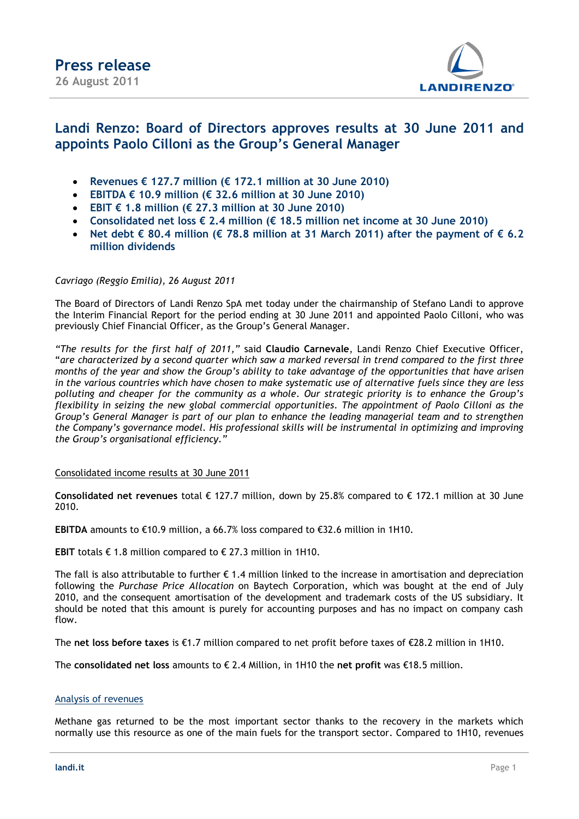

## **Landi Renzo: Board of Directors approves results at 30 June 2011 and appoints Paolo Cilloni as the Group's General Manager**

- **Revenues € 127.7 million (€ 172.1 million at 30 June 2010)**
- **EBITDA € 10.9 million (€ 32.6 million at 30 June 2010)**
- **EBIT € 1.8 million (€ 27.3 million at 30 June 2010)**
- **Consolidated net loss € 2.4 million (€ 18.5 million net income at 30 June 2010)**
- **Net debt € 80.4 million (€ 78.8 million at 31 March 2011) after the payment of € 6.2 million dividends**

#### *Cavriago (Reggio Emilia), 26 August 2011*

The Board of Directors of Landi Renzo SpA met today under the chairmanship of Stefano Landi to approve the Interim Financial Report for the period ending at 30 June 2011 and appointed Paolo Cilloni, who was previously Chief Financial Officer, as the Group's General Manager.

*"The results for the first half of 2011,"* said **Claudio Carnevale**, Landi Renzo Chief Executive Officer, "*are characterized by a second quarter which saw a marked reversal in trend compared to the first three months of the year and show the Group's ability to take advantage of the opportunities that have arisen in the various countries which have chosen to make systematic use of alternative fuels since they are less polluting and cheaper for the community as a whole. Our strategic priority is to enhance the Group's flexibility in seizing the new global commercial opportunities. The appointment of Paolo Cilloni as the Group's General Manager is part of our plan to enhance the leading managerial team and to strengthen the Company's governance model. His professional skills will be instrumental in optimizing and improving the Group's organisational efficiency."*

#### Consolidated income results at 30 June 2011

**Consolidated net revenues** total € 127.7 million, down by 25.8% compared to € 172.1 million at 30 June 2010.

**EBITDA** amounts to €10.9 million, a 66.7% loss compared to €32.6 million in 1H10.

**EBIT** totals € 1.8 million compared to € 27.3 million in 1H10.

The fall is also attributable to further  $\epsilon$  1.4 million linked to the increase in amortisation and depreciation following the *Purchase Price Allocation* on Baytech Corporation, which was bought at the end of July 2010, and the consequent amortisation of the development and trademark costs of the US subsidiary. It should be noted that this amount is purely for accounting purposes and has no impact on company cash flow.

The **net loss before taxes** is €1.7 million compared to net profit before taxes of €28.2 million in 1H10.

The **consolidated net loss** amounts to € 2.4 Million, in 1H10 the **net profit** was €18.5 million.

#### Analysis of revenues

Methane gas returned to be the most important sector thanks to the recovery in the markets which normally use this resource as one of the main fuels for the transport sector. Compared to 1H10, revenues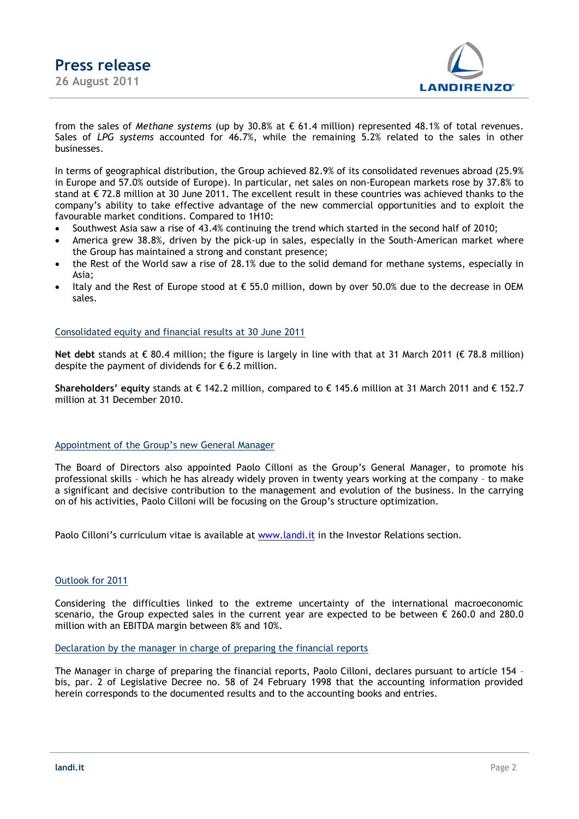

from the sales of *Methane systems* (up by 30.8% at € 61.4 million) represented 48.1% of total revenues. Sales of *LPG systems* accounted for 46.7%, while the remaining 5.2% related to the sales in other businesses.

In terms of geographical distribution, the Group achieved 82.9% of its consolidated revenues abroad (25.9% in Europe and 57.0% outside of Europe). In particular, net sales on non-European markets rose by 37.8% to stand at € 72.8 million at 30 June 2011. The excellent result in these countries was achieved thanks to the company's ability to take effective advantage of the new commercial opportunities and to exploit the favourable market conditions. Compared to 1H10:

- Southwest Asia saw a rise of 43.4% continuing the trend which started in the second half of 2010;
- America grew 38.8%, driven by the pick-up in sales, especially in the South-American market where the Group has maintained a strong and constant presence;
- the Rest of the World saw a rise of 28.1% due to the solid demand for methane systems, especially in Asia;
- Italy and the Rest of Europe stood at  $\epsilon$  55.0 million, down by over 50.0% due to the decrease in OEM sales.

#### Consolidated equity and financial results at 30 June 2011

**Net debt** stands at € 80.4 million; the figure is largely in line with that at 31 March 2011 (€ 78.8 million) despite the payment of dividends for  $\epsilon$  6.2 million.

**Shareholders' equity** stands at € 142.2 million, compared to € 145.6 million at 31 March 2011 and € 152.7 million at 31 December 2010.

#### Appointment of the Group's new General Manager

The Board of Directors also appointed Paolo Cilloni as the Group's General Manager, to promote his professional skills – which he has already widely proven in twenty years working at the company – to make a significant and decisive contribution to the management and evolution of the business. In the carrying on of his activities, Paolo Cilloni will be focusing on the Group's structure optimization.

Paolo Cilloni's curriculum vitae is available at [www.landi.it](http://www.landi.it/) in the Investor Relations section.

#### Outlook for 2011

Considering the difficulties linked to the extreme uncertainty of the international macroeconomic scenario, the Group expected sales in the current year are expected to be between € 260.0 and 280.0 million with an EBITDA margin between 8% and 10%.

#### Declaration by the manager in charge of preparing the financial reports

The Manager in charge of preparing the financial reports, Paolo Cilloni, declares pursuant to article 154 – bis, par. 2 of Legislative Decree no. 58 of 24 February 1998 that the accounting information provided herein corresponds to the documented results and to the accounting books and entries.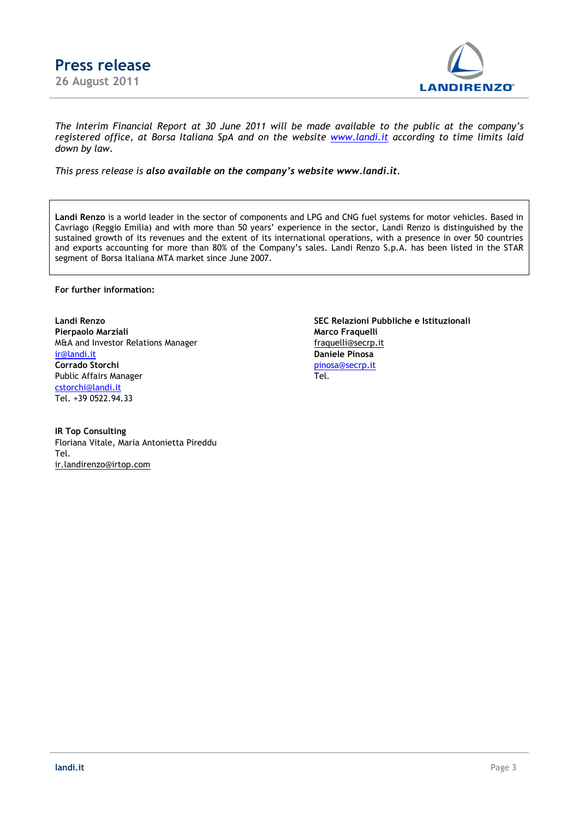



*The Interim Financial Report at 30 June 2011 will be made available to the public at the company's registered office, at Borsa Italiana SpA and on the website [www.landi.it](http://www.landi.it/) according to time limits laid down by law.*

*This press release is also available on the company's website [www.landi.it](http://www.landi.it/).*

**Landi Renzo** is a world leader in the sector of components and LPG and CNG fuel systems for motor vehicles. Based in Cavriago (Reggio Emilia) and with more than 50 years' experience in the sector, Landi Renzo is distinguished by the sustained growth of its revenues and the extent of its international operations, with a presence in over 50 countries and exports accounting for more than 80% of the Company's sales. Landi Renzo S.p.A. has been listed in the STAR segment of Borsa Italiana MTA market since June 2007.

**For further information:**

Pierpaolo Marziali **Marco Fraquelli Marco Fraquelli** M&A and Investor Relations Manager [fraquelli@secrp.it](mailto:fraquelli@secrp.it) [ir@landi.it](mailto:ir@landi.it) **Daniele Pinosa Corrado Storchi** [pinosa@secrp.it](mailto:pinosa@secrp.it) Public Affairs Manager Tel. [cstorchi@landi.it](mailto:cstorchi@landi.it) Tel. +39 0522.94.33

**IR Top Consulting** Floriana Vitale, Maria Antonietta Pireddu Tel. [ir.landirenzo@irtop.com](mailto:ir.landirenzo@irtop.com)

**Landi Renzo SEC Relazioni Pubbliche e Istituzionali**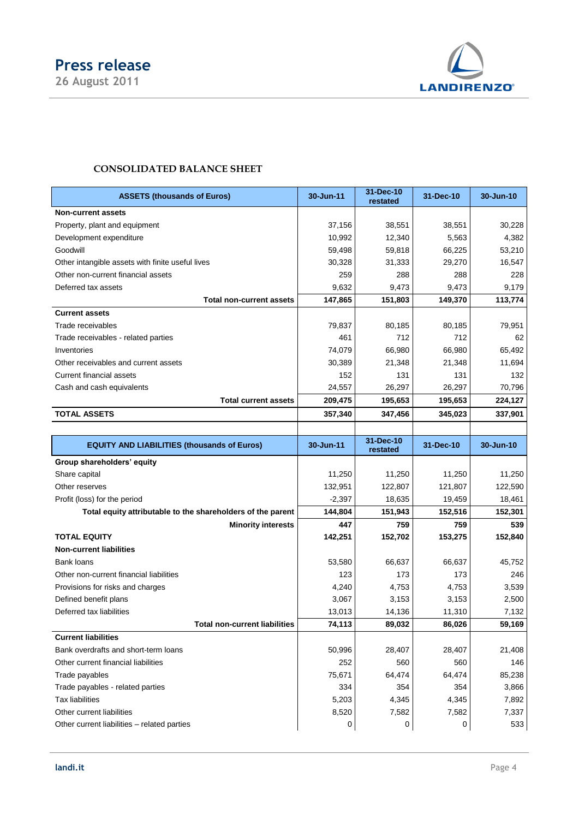

# **CONSOLIDATED BALANCE SHEET**

| <b>ASSETS (thousands of Euros)</b>                          | 30-Jun-11 | 31-Dec-10<br>restated | 31-Dec-10 | 30-Jun-10 |
|-------------------------------------------------------------|-----------|-----------------------|-----------|-----------|
| <b>Non-current assets</b>                                   |           |                       |           |           |
| Property, plant and equipment                               | 37,156    | 38,551<br>38,551      |           | 30,228    |
| Development expenditure                                     | 10,992    | 12,340                | 5,563     | 4,382     |
| Goodwill                                                    | 59,498    | 59,818                | 66,225    | 53,210    |
| Other intangible assets with finite useful lives            | 30,328    | 31,333                | 29,270    | 16,547    |
| Other non-current financial assets                          | 259       | 288                   | 288       | 228       |
| Deferred tax assets                                         | 9,632     | 9,473                 | 9,473     | 9,179     |
| <b>Total non-current assets</b>                             | 147,865   | 151,803               | 149,370   | 113,774   |
| <b>Current assets</b>                                       |           |                       |           |           |
| Trade receivables                                           | 79,837    | 80,185                | 80,185    | 79,951    |
| Trade receivables - related parties                         | 461       | 712                   | 712       | 62        |
| Inventories                                                 | 74,079    | 66,980                | 66,980    | 65,492    |
| Other receivables and current assets                        | 30,389    | 21,348                | 21,348    | 11,694    |
| Current financial assets                                    | 152       | 131                   | 131       | 132       |
| Cash and cash equivalents                                   | 24,557    | 26,297                | 26,297    | 70,796    |
| <b>Total current assets</b>                                 | 209,475   | 195,653               | 195,653   | 224,127   |
| <b>TOTAL ASSETS</b>                                         | 357,340   | 347,456               | 345,023   | 337,901   |
|                                                             |           |                       |           |           |
| <b>EQUITY AND LIABILITIES (thousands of Euros)</b>          | 30-Jun-11 | 31-Dec-10<br>restated | 31-Dec-10 | 30-Jun-10 |
| Group shareholders' equity                                  |           |                       |           |           |
| Share capital                                               | 11,250    | 11,250                | 11,250    | 11,250    |
| Other reserves                                              | 132,951   | 122,807               | 121,807   | 122,590   |
| Profit (loss) for the period                                | $-2,397$  | 18,635                | 19,459    | 18,461    |
| Total equity attributable to the shareholders of the parent | 144,804   | 151,943               | 152,516   | 152,301   |
| <b>Minority interests</b>                                   | 447       | 759                   | 759       | 539       |
| <b>TOTAL EQUITY</b>                                         | 142,251   | 152,702               | 153,275   | 152,840   |
| <b>Non-current liabilities</b>                              |           |                       |           |           |
| Bank loans                                                  | 53,580    | 66,637                | 66,637    | 45,752    |
| Other non-current financial liabilities                     | 123       | 173                   | 173       | 246       |
| Provisions for risks and charges                            |           |                       |           |           |
|                                                             | 4,240     | 4,753                 | 4,753     | 3,539     |
| Defined benefit plans                                       | 3,067     | 3,153                 | 3,153     | 2,500     |
| Deferred tax liabilities                                    | 13,013    | 14,136                | 11,310    | 7,132     |
| <b>Total non-current liabilities</b>                        | 74,113    | 89,032                | 86,026    | 59,169    |
| <b>Current liabilities</b>                                  |           |                       |           |           |
| Bank overdrafts and short-term loans                        | 50,996    | 28,407                | 28,407    | 21,408    |
| Other current financial liabilities                         | 252       | 560                   | 560       | 146       |
| Trade payables                                              | 75,671    | 64,474                | 64,474    | 85,238    |
| Trade payables - related parties                            | 334       | 354                   | 354       | 3,866     |
| <b>Tax liabilities</b>                                      | 5,203     | 4,345                 | 4,345     | 7,892     |
| Other current liabilities                                   | 8,520     | 7,582                 | 7,582     | 7,337     |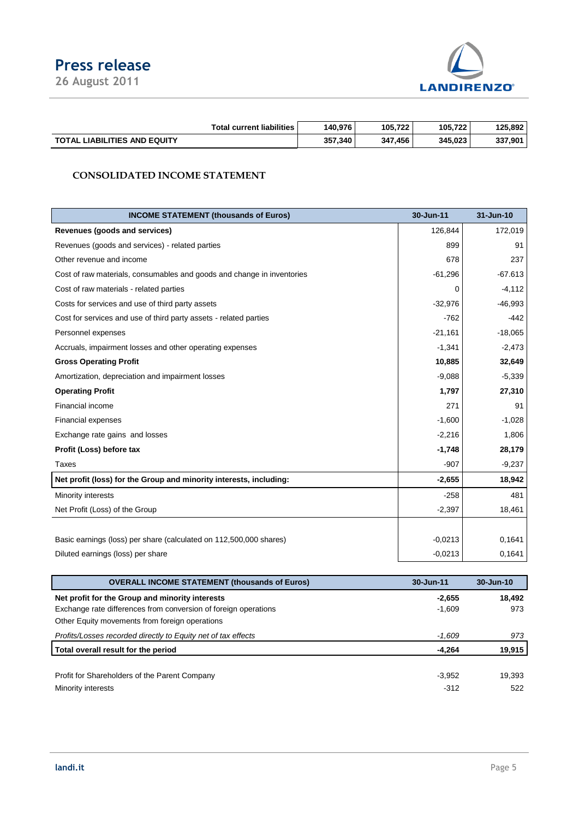# **Press release**

**26 August 2011**



|                                     | <b>Total current liabilities</b> | 140.976 | 105.722 | 105.722 | 125.892 |
|-------------------------------------|----------------------------------|---------|---------|---------|---------|
| <b>TOTAL LIABILITIES AND EQUITY</b> |                                  | 357,340 | 347.456 | 345.023 | 337,901 |

## **CONSOLIDATED INCOME STATEMENT**

| <b>INCOME STATEMENT (thousands of Euros)</b>                           | 30-Jun-11 | 31-Jun-10 |
|------------------------------------------------------------------------|-----------|-----------|
| Revenues (goods and services)                                          | 126,844   | 172,019   |
| Revenues (goods and services) - related parties                        | 899       | 91        |
| Other revenue and income                                               | 678       | 237       |
| Cost of raw materials, consumables and goods and change in inventories | $-61,296$ | $-67.613$ |
| Cost of raw materials - related parties                                | 0         | $-4,112$  |
| Costs for services and use of third party assets                       | $-32,976$ | $-46,993$ |
| Cost for services and use of third party assets - related parties      | $-762$    | $-442$    |
| Personnel expenses                                                     | $-21,161$ | $-18,065$ |
| Accruals, impairment losses and other operating expenses               | $-1,341$  | $-2,473$  |
| <b>Gross Operating Profit</b>                                          | 10,885    | 32,649    |
| Amortization, depreciation and impairment losses                       | $-9,088$  | $-5,339$  |
| <b>Operating Profit</b>                                                | 1,797     | 27,310    |
| Financial income                                                       | 271       | 91        |
| <b>Financial expenses</b>                                              | $-1,600$  | $-1,028$  |
| Exchange rate gains and losses                                         | $-2,216$  | 1,806     |
| Profit (Loss) before tax                                               | $-1,748$  | 28,179    |
| <b>Taxes</b>                                                           | $-907$    | $-9,237$  |
| Net profit (loss) for the Group and minority interests, including:     | $-2,655$  | 18,942    |
| Minority interests                                                     | $-258$    | 481       |
| Net Profit (Loss) of the Group                                         | $-2,397$  | 18,461    |
|                                                                        |           |           |
| Basic earnings (loss) per share (calculated on 112,500,000 shares)     | $-0.0213$ | 0,1641    |
| Diluted earnings (loss) per share                                      | $-0.0213$ | 0,1641    |

| <b>OVERALL INCOME STATEMENT (thousands of Euros)</b>            | 30-Jun-11 | 30-Jun-10 |
|-----------------------------------------------------------------|-----------|-----------|
| Net profit for the Group and minority interests                 | $-2,655$  | 18.492    |
| Exchange rate differences from conversion of foreign operations | $-1,609$  | 973       |
| Other Equity movements from foreign operations                  |           |           |
| Profits/Losses recorded directly to Equity net of tax effects   | -1.609    | 973       |
| Total overall result for the period                             | -4,264    | 19,915    |
|                                                                 |           |           |
| Profit for Shareholders of the Parent Company                   | $-3,952$  | 19.393    |
| Minority interests                                              | -312      | 522       |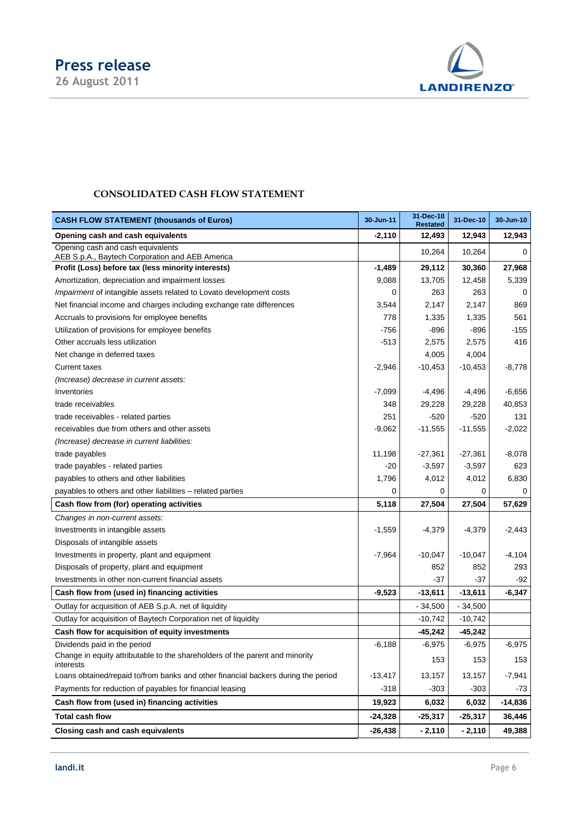

## **CONSOLIDATED CASH FLOW STATEMENT**

| <b>CASH FLOW STATEMENT (thousands of Euros)</b>                                           | 30-Jun-11 | 31-Dec-10<br><b>Restated</b> | 31-Dec-10 | 30-Jun-10 |
|-------------------------------------------------------------------------------------------|-----------|------------------------------|-----------|-----------|
| Opening cash and cash equivalents                                                         | -2,110    | 12,493                       | 12,943    | 12,943    |
| Opening cash and cash equivalents<br>AEB S.p.A., Baytech Corporation and AEB America      |           | 10,264                       | 10,264    | $\Omega$  |
| Profit (Loss) before tax (less minority interests)                                        | $-1,489$  | 29,112                       | 30,360    | 27,968    |
| Amortization, depreciation and impairment losses                                          | 9,088     | 13,705                       | 12,458    | 5,339     |
| Impairment of intangible assets related to Lovato development costs                       | 0         | 263                          | 263       | 0         |
| Net financial income and charges including exchange rate differences                      | 3,544     | 2,147                        | 2,147     | 869       |
| Accruals to provisions for employee benefits                                              | 778       | 1,335                        | 1,335     | 561       |
| Utilization of provisions for employee benefits                                           | $-756$    | $-896$                       | $-896$    | -155      |
| Other accruals less utilization                                                           | $-513$    | 2,575                        | 2,575     | 416       |
| Net change in deferred taxes                                                              |           | 4,005                        | 4,004     |           |
| <b>Current taxes</b>                                                                      | $-2,946$  | $-10,453$                    | $-10,453$ | $-8,778$  |
| (Increase) decrease in current assets:                                                    |           |                              |           |           |
| Inventories                                                                               | $-7,099$  | -4,496                       | $-4,496$  | $-6,656$  |
| trade receivables                                                                         | 348       | 29,228                       | 29,228    | 40,853    |
| trade receivables - related parties                                                       | 251       | $-520$                       | -520      | 131       |
| receivables due from others and other assets                                              | -9,062    | $-11,555$                    | $-11,555$ | $-2,022$  |
| (Increase) decrease in current liabilities:                                               |           |                              |           |           |
| trade payables                                                                            | 11,198    | $-27,361$                    | $-27,361$ | $-8,078$  |
| trade payables - related parties                                                          | $-20$     | $-3,597$                     | $-3,597$  | 623       |
| payables to others and other liabilities                                                  | 1,796     | 4,012                        | 4,012     | 6,830     |
| payables to others and other liabilities – related parties                                | 0         | 0                            | 0         | 0         |
| Cash flow from (for) operating activities                                                 | 5,118     | 27,504                       | 27,504    | 57,629    |
| Changes in non-current assets:                                                            |           |                              |           |           |
| Investments in intangible assets                                                          | $-1,559$  | $-4,379$                     | $-4,379$  | $-2,443$  |
| Disposals of intangible assets                                                            |           |                              |           |           |
| Investments in property, plant and equipment                                              | $-7,964$  | $-10,047$                    | $-10,047$ | $-4,104$  |
| Disposals of property, plant and equipment                                                |           | 852                          | 852       | 293       |
| Investments in other non-current financial assets                                         |           | -37                          | -37       | -92       |
| Cash flow from (used in) financing activities                                             | -9,523    | $-13,611$                    | $-13,611$ | $-6,347$  |
| Outlay for acquisition of AEB S.p.A. net of liquidity                                     |           | - 34,500                     | - 34,500  |           |
| Outlay for acquisition of Baytech Corporation net of liquidity                            |           | $-10,742$                    | $-10,742$ |           |
| Cash flow for acquisition of equity investments                                           |           | $-45,242$                    | $-45,242$ |           |
| Dividends paid in the period                                                              | $-6,188$  | $-6,975$                     | $-6,975$  | $-6,975$  |
| Change in equity attributable to the shareholders of the parent and minority<br>interests |           | 153                          | 153       | 153       |
| Loans obtained/repaid to/from banks and other financial backers during the period         | $-13,417$ | 13,157                       | 13,157    | $-7,941$  |
| Payments for reduction of payables for financial leasing                                  | $-318$    | $-303$                       | $-303$    | -73       |
| Cash flow from (used in) financing activities                                             | 19,923    | 6,032                        | 6,032     | $-14,836$ |
| <b>Total cash flow</b>                                                                    | $-24,328$ | $-25,317$                    | $-25,317$ | 36,446    |
| Closing cash and cash equivalents                                                         | $-26,438$ | $-2,110$                     | $-2,110$  | 49,388    |